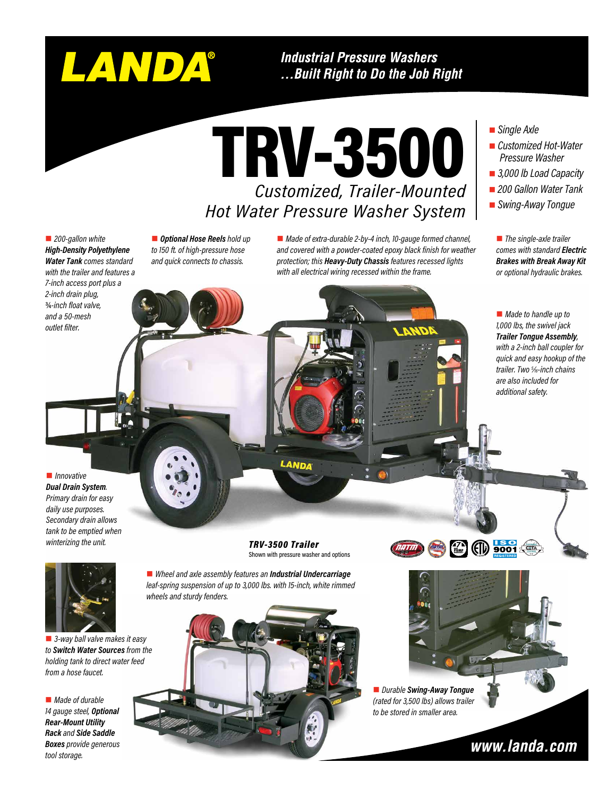# LANDA®

**Industrial Pressure Washers** ...Built Right to Do the Job Right

TRV-3500 *Customized, Trailer-Mounted Hot Water Pressure Washer System* 

■ 200-gallon white *High-Density Polyethylene Water Tank comes standard with the trailer and features a 7-inch access port plus a 2-inch drain plug,*  ¾*-inch float valve, and a 50-mesh outlet filter.*

■ **Optional Hose Reels** hold up *to 150 ft. of high-pressure hose and quick connects to chassis.*

■ *Made of extra-durable 2-by-4 inch, 10-gauge formed channel, and covered with a powder-coated epoxy black finish for weather protection; this Heavy-Duty Chassis features recessed lights with all electrical wiring recessed within the frame.*

### ■ *Single Axle*

- *Customized Hot-Water Pressure Washer*
- 3,000 lb Load Capacity
- 200 Gallon Water Tank
- *Swing-Away Tongue*

**n** *The single-axle trailer comes with standard Electric Brakes with Break Away Kit or optional hydraulic brakes.*

■ *Made to handle up to 1,000 lbs, the swivel jack Trailer Tongue Assembly, with a 2-inch ball coupler for quick and easy hookup of the trailer. Two 5 ⁄16-inch chains are also included for additional safety.*

**n***Innovative Dual Drain System. Primary drain for easy daily use purposes. Secondary drain allows tank to be emptied when winterizing the unit.*



■ *3-way ball valve makes it easy to Switch Water Sources from the holding tank to direct water feed from a hose faucet.*

■ *Made of durable 14 gauge steel, Optional Rear-Mount Utility Rack and Side Saddle Boxes provide generous tool storage.*

*TRV-3500 Trailer* Shown with pressure washer and options

LANDA

■ Wheel and axle assembly features an *Industrial Undercarriage leaf-spring suspension of up to 3,000 lbs. with 15-inch, white rimmed wheels and sturdy fenders.*





n *Durable Swing-Away Tongue (rated for 3,500 lbs) allows trailer to be stored in smaller area.*

www.landa.com